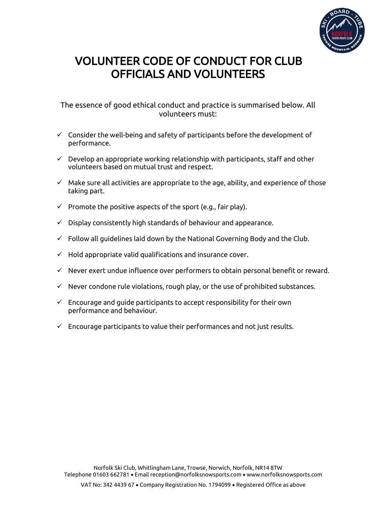

## VOLUNTEER CODE OF CONDUCT FOR CLUB OFFICIALS AND VOLUNTEERS

## The essence of good ethical conduct and practice is summarised below. All volunteers must:

- $\checkmark$  Consider the well-being and safety of participants before the development of performance.
- $\checkmark$  Develop an appropriate working relationship with participants, staff and other volunteers based on mutual trust and respect.
- $\checkmark$  Make sure all activities are appropriate to the age, ability, and experience of those taking part.
- $\checkmark$  Promote the positive aspects of the sport (e.g., fair play).
- $\checkmark$  Display consistently high standards of behaviour and appearance.
- $\checkmark$  Follow all guidelines laid down by the National Governing Body and the Club.
- $\checkmark$  Hold appropriate valid qualifications and insurance cover.
- $\checkmark$  Never exert undue influence over performers to obtain personal benefit or reward.
- $\checkmark$  Never condone rule violations, rough play, or the use of prohibited substances.
- $\checkmark$  Encourage and guide participants to accept responsibility for their own performance and behaviour.
- $\checkmark$  Encourage participants to value their performances and not just results.